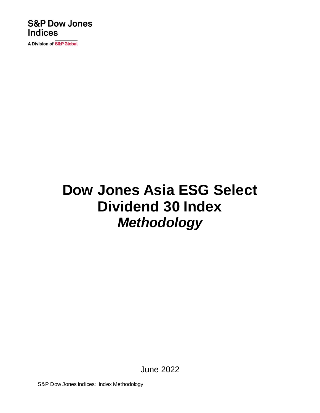

A Division of S&P Global

# **Dow Jones Asia ESG Select Dividend 30 Index** *Methodology*

June 2022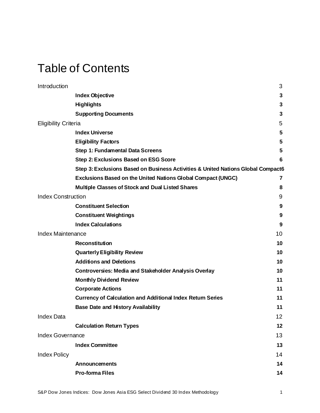## Table of Contents

| Introduction                |                                                                                  | 3  |
|-----------------------------|----------------------------------------------------------------------------------|----|
|                             | <b>Index Objective</b>                                                           | 3  |
|                             | <b>Highlights</b>                                                                | 3  |
|                             | <b>Supporting Documents</b>                                                      | 3  |
| <b>Eligibility Criteria</b> |                                                                                  | 5  |
|                             | <b>Index Universe</b>                                                            | 5  |
|                             | <b>Eligibility Factors</b>                                                       | 5  |
|                             | <b>Step 1: Fundamental Data Screens</b>                                          | 5  |
|                             | Step 2: Exclusions Based on ESG Score                                            | 6  |
|                             | Step 3: Exclusions Based on Business Activities & United Nations Global Compact6 |    |
|                             | <b>Exclusions Based on the United Nations Global Compact (UNGC)</b>              | 7  |
|                             | <b>Multiple Classes of Stock and Dual Listed Shares</b>                          | 8  |
| <b>Index Construction</b>   |                                                                                  | 9  |
|                             | <b>Constituent Selection</b>                                                     | 9  |
|                             | <b>Constituent Weightings</b>                                                    | 9  |
|                             | <b>Index Calculations</b>                                                        | 9  |
| <b>Index Maintenance</b>    |                                                                                  | 10 |
|                             | <b>Reconstitution</b>                                                            | 10 |
|                             | <b>Quarterly Eligibility Review</b>                                              | 10 |
|                             | <b>Additions and Deletions</b>                                                   | 10 |
|                             | <b>Controversies: Media and Stakeholder Analysis Overlay</b>                     | 10 |
|                             | <b>Monthly Dividend Review</b>                                                   | 11 |
|                             | <b>Corporate Actions</b>                                                         | 11 |
|                             | <b>Currency of Calculation and Additional Index Return Series</b>                | 11 |
|                             | <b>Base Date and History Availability</b>                                        | 11 |
| <b>Index Data</b>           |                                                                                  | 12 |
|                             | <b>Calculation Return Types</b>                                                  | 12 |
| <b>Index Governance</b>     |                                                                                  | 13 |
|                             | <b>Index Committee</b>                                                           | 13 |
| <b>Index Policy</b>         |                                                                                  | 14 |
|                             | <b>Announcements</b>                                                             | 14 |
|                             | <b>Pro-forma Files</b>                                                           | 14 |
|                             |                                                                                  |    |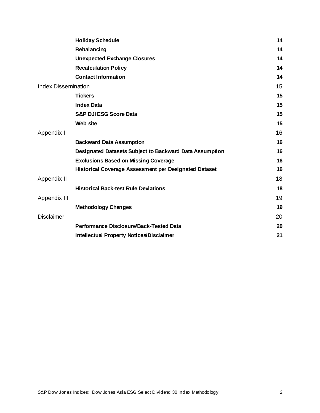|                            | <b>Holiday Schedule</b>                                 | 14 |
|----------------------------|---------------------------------------------------------|----|
|                            | Rebalancing                                             | 14 |
|                            | <b>Unexpected Exchange Closures</b>                     | 14 |
|                            | <b>Recalculation Policy</b>                             | 14 |
|                            | <b>Contact Information</b>                              | 14 |
| <b>Index Dissemination</b> |                                                         | 15 |
|                            | <b>Tickers</b>                                          | 15 |
|                            | <b>Index Data</b>                                       | 15 |
|                            | <b>S&amp;P DJI ESG Score Data</b>                       | 15 |
|                            | Web site                                                | 15 |
| Appendix I                 |                                                         | 16 |
|                            | <b>Backward Data Assumption</b>                         | 16 |
|                            | Designated Datasets Subject to Backward Data Assumption | 16 |
|                            | <b>Exclusions Based on Missing Coverage</b>             | 16 |
|                            | Historical Coverage Assessment per Designated Dataset   | 16 |
| Appendix II                |                                                         | 18 |
|                            | <b>Historical Back-test Rule Deviations</b>             | 18 |
| Appendix III               |                                                         | 19 |
|                            | <b>Methodology Changes</b>                              | 19 |
| <b>Disclaimer</b>          |                                                         | 20 |
|                            | <b>Performance Disclosure/Back-Tested Data</b>          | 20 |
|                            | <b>Intellectual Property Notices/Disclaimer</b>         | 21 |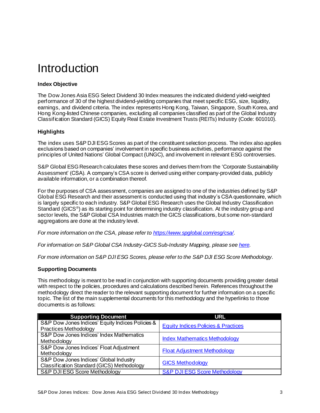## <span id="page-3-0"></span>Introduction

#### <span id="page-3-1"></span>**Index Objective**

The Dow Jones Asia ESG Select Dividend 30 Index measures the indicated dividend yield-weighted performance of 30 of the highest dividend-yielding companies that meet specific ESG, size, liquidity, earnings, and dividend criteria. The index represents Hong Kong, Taiwan, Singapore, South Korea, and Hong Kong-listed Chinese companies, excluding all companies classified as part of the Global Industry Classification Standard (GICS) Equity Real Estate Investment Trusts (REITs) Industry (Code: 601010).

#### <span id="page-3-2"></span>**Highlights**

The index uses S&P DJI ESG Scores as part of the constituent selection process. The index also applies exclusions based on companies' involvement in specific business activities, performance against the principles of United Nations' Global Compact (UNGC), and involvement in relevant ESG controversies.

S&P Global ESG Research calculates these scores and derives them from the 'Corporate Sustainability Assessment' (CSA). A company's CSA score is derived using either company-provided data, publicly available information, or a combination thereof.

For the purposes of CSA assessment, companies are assigned to one of the industries defined by S&P Global ESG Research and their assessment is conducted using that industry's CSA questionnaire, which is largely specific to each industry. S&P Global ESG Research uses the Global Industry Classification Standard (GICS<sup>®</sup>) as its starting point for determining industry classification. At the industry group and sector levels, the S&P Global CSA Industries match the GICS classifications, but some non-standard aggregations are done at the industry level.

*For more information on the CSA, please refer t[o https://www.spglobal.com/esg/csa/](https://www.spglobal.com/esg/csa/)*.

*For information on S&P Global CSA Industry-GICS Sub-Industry Mapping, please se[e here](https://www.spglobal.com/spdji/en/documents/index-policies/sp-global-csa-industry-gics-sub-industry-mapping.pdf).*

<span id="page-3-3"></span>*For more information on S&P DJI ESG Scores, please refer to the S&P DJI ESG Score Methodology*.

#### **Supporting Documents**

This methodology is meant to be read in conjunction with supporting documents providing greater detail with respect to the policies, procedures and calculations described herein. References throughout the methodology direct the reader to the relevant supporting document for further information on a specific topic. The list of the main supplemental documents for this methodology and the hyperlinks to those documents is as follows:

| <b>Supporting Document</b>                       | <b>URL</b>                                     |
|--------------------------------------------------|------------------------------------------------|
| S&P Dow Jones Indices' Equity Indices Policies & | <b>Equity Indices Policies &amp; Practices</b> |
| <b>Practices Methodology</b>                     |                                                |
| S&P Dow Jones Indices' Index Mathematics         |                                                |
| Methodology                                      | <b>Index Mathematics Methodology</b>           |
| S&P Dow Jones Indices' Float Adjustment          | <b>Float Adjustment Methodology</b>            |
| Methodology                                      |                                                |
| S&P Dow Jones Indices' Global Industry           |                                                |
| Classification Standard (GICS) Methodology       | <b>GICS Methodology</b>                        |
| S&P DJI ESG Score Methodology                    | <b>S&amp;P DJI ESG Score Methodology</b>       |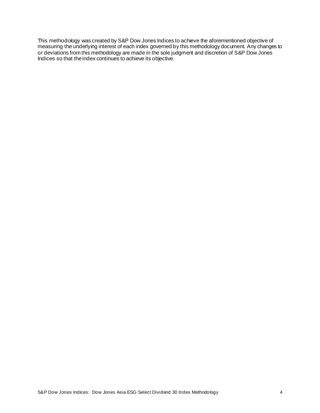This methodology was created by S&P Dow Jones Indices to achieve the aforementioned objective of measuring the underlying interest of each index governed by this methodology document. Any changes to or deviations from this methodology are made in the sole judgment and discretion of S&P Dow Jones Indices so that the index continues to achieve its objective.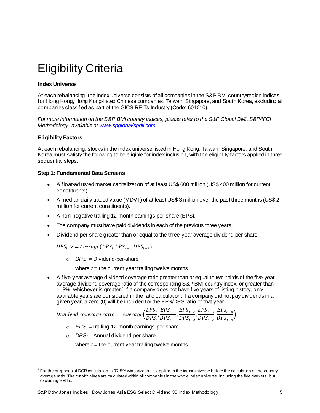# <span id="page-5-0"></span>Eligibility Criteria

#### <span id="page-5-1"></span>**Index Universe**

At each rebalancing, the index universe consists of all companies in the S&P BMI country/region indices for Hong Kong, Hong Kong-listed Chinese companies, Taiwan, Singapore, and South Korea, excluding all companies classified as part of the GICS REITs Industry (Code: 601010).

*For more information on the S&P BMI country indices, please refer to the S&P Global BMI, S&P/IFCI Methodology, available a[t www.spglobal/spdji.com](http://www.spdji.com/).*

#### <span id="page-5-2"></span>**Eligibility Factors**

At each rebalancing, stocks in the index universe listed in Hong Kong, Taiwan, Singapore, and South Korea must satisfy the following to be eligible for index inclusion, with the eligibility factors applied in three sequential steps.

#### <span id="page-5-3"></span>**Step 1: Fundamental Data Screens**

- A float-adjusted market capitalization of at least US\$ 600 million (US\$ 400 million for current constituents).
- A median daily traded value (MDVT) of at least US\$ 3 million over the past three months (US\$ 2 million for current constituents).
- A non-negative trailing 12-month earnings-per-share (EPS).
- The company must have paid dividends in each of the previous three years.
- Dividend-per-share greater than or equal to the three-year average dividend-per-share:

 $DPS_t$  > =  $Average(DPS_t, DPS_{t-1}, DPS_{t-2})$ 

o *DPS<sup>t</sup>* = Dividend-per-share

where  $t =$  the current year trailing twelve months

• A five-year average dividend coverage ratio greater than or equal to two-thirds of the five-year average dividend coverage ratio of the corresponding S&P BMI country index, or greater than 118%, whichever is greater.<sup>1</sup> If a company does not have five years of listing history, only available years are considered in the ratio calculation. If a company did not pay dividends in a given year, a zero (0) will be included for the EPS/DPS ratio of that year.

Dividend coverage ratio =  $\textit{Average} \left(\frac{\textit{EPS}}{\textit{DBC}}\right)$  $\frac{EPS_t}{DPS_t}, \frac{EPS_{t-1}}{DPS_{t-1}}$  $\frac{EPS_{t-1}}{DPS_{t-1}}, \frac{EPS_{t-2}}{DPS_{t-2}}$  $\frac{EPS_{t-2}}{DPS_{t-2}}, \frac{EPS_{t-3}}{DPS_{t-3}}$  $\frac{EPS_{t-3}}{DPS_{t-3}}, \frac{EPS_{t-4}}{DPS_{t-4}}$  $\frac{1-\epsilon_{t-4}}{DPS_{t-4}}$ 

- o *EPS<sup>t</sup>* =Trailing 12-month earnings-per-share
- o *DPS<sup>t</sup>* = Annual dividend-per-share

where  $t =$  the current year trailing twelve months

S&P Dow Jones Indices: Dow Jones Asia ESG Select Dividend 30 Index Methodology 65

 $1$  For the purposes of DCR calculation, a 97.5% winsorization is applied to the index universe before the calculation of the country average ratio. The cutoff values are calculated within all companies in the whole index universe, including the five markets, but excluding REITs.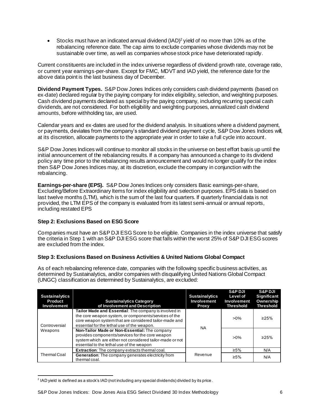• Stocks must have an indicated annual dividend (IAD)<sup>2</sup> yield of no more than 10% as of the rebalancing reference date. The cap aims to exclude companies whose dividends may not be sustainable over time, as well as companies whose stock price have deteriorated rapidly.

Current constituents are included in the index universe regardless of dividend growth rate, coverage ratio, or current year earnings-per-share. Except for FMC, MDVT and IAD yield, the reference date for the above data point is the last business day of December.

**Dividend Payment Types.** S&P Dow Jones Indices only considers cash dividend payments (based on ex-date) declared regular by the paying company for index eligibility, selection, and weighting purposes. Cash dividend payments declared as special by the paying company, including recurring special cash dividends, are not considered. For both eligibility and weighting purposes, annualized cash dividend amounts, before withholding tax, are used.

Calendar years and ex-dates are used for the dividend analysis. In situations where a dividend payment, or payments, deviates from the company's standard dividend payment cycle, S&P Dow Jones Indices will, at its discretion, allocate payments to the appropriate year in order to take a full cycle into account.

S&P Dow Jones Indices will continue to monitor all stocks in the universe on best effort basis up until the initial announcement of the rebalancing results. If a company has announced a change to its dividend policy any time prior to the rebalancing results announcement and would no longer qualify for the index then S&P Dow Jones Indices may, at its discretion, exclude the company in conjunction with the rebalancing.

**Earnings-per-share (EPS).** S&P Dow Jones Indices only considers Basic earnings-per-share, Excluding/Before Extraordinary Items for index eligibility and selection purposes. EPS data is based on last twelve months (LTM), which is the sum of the last four quarters. If quarterly financial data is not provided, the LTM EPS of the company is evaluated from its latest semi-annual or annual reports, including restated EPS

#### <span id="page-6-0"></span>**Step 2: Exclusions Based on ESG Score**

Companies must have an S&P DJI ESG Score to be eligible. Companies in the index universe that satisfy the criteria in Step 1 with an S&P DJI ESG score that falls within the worst 25% of S&P DJI ESG scores are excluded from the index.

#### <span id="page-6-1"></span>**Step 3: Exclusions Based on Business Activities & United Nations Global Compact**

As of each rebalancing reference date, companies with the following specific business activities, as determined by Sustainalytics, and/or companies with disqualifying United Nations Global Compact (UNGC) classification as determined by Sustainalytics, are excluded:

| <b>Sustainalytics</b><br>Product<br>Involvement | <b>Sustainalytics Category</b><br>of Involvement and Description                                                                                                                                                        | <b>Sustainalytics</b><br>Involvement<br><b>Proxy</b> | <b>S&amp;P DJI</b><br><b>Level of</b><br>Involvement<br><b>Threshold</b> | <b>S&amp;P DJI</b><br><b>Significant</b><br>Ownership<br><b>Threshold</b> |
|-------------------------------------------------|-------------------------------------------------------------------------------------------------------------------------------------------------------------------------------------------------------------------------|------------------------------------------------------|--------------------------------------------------------------------------|---------------------------------------------------------------------------|
| Controversial                                   | Tailor Made and Essential: The company is involved in<br>the core weapon system, or components/services of the<br>core weapon system that are considered tailor-made and<br>essential for the lethal use of the weapon. | <b>NA</b>                                            | $>0\%$                                                                   | $>25\%$                                                                   |
| Weapons                                         | Non-Tailor Made or Non-Essential: The company<br>provides components/services for the core weapon<br>system which are either not considered tailor-made or not<br>essential to the lethal use of the weapon             |                                                      | $>0\%$                                                                   | >25%                                                                      |
|                                                 | Extraction: The company extracts thermal coal.                                                                                                                                                                          |                                                      | $\geq 5\%$                                                               | N/A                                                                       |
| <b>Thermal Coal</b>                             | <b>Generation:</b> The company generates electricity from<br>thermal coal.                                                                                                                                              | Revenue                                              | $\geq 5\%$                                                               | N/A                                                                       |

 $^{\rm 2}$  IAD yield is defined as a stock's IAD (not including any special dividends) divided by its price .

S&P Dow Jones Indices: Dow Jones Asia ESG Select Dividend 30 Index Methodology 66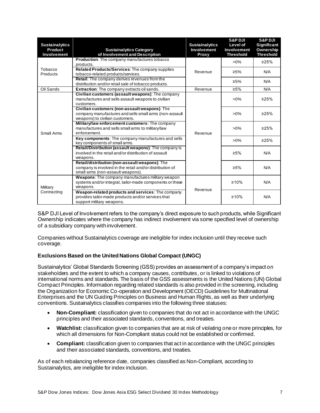| <b>Sustainalytics</b><br>Product<br>Involvement | <b>Sustainalytics Category</b><br>of Involvement and Description                                                                                | <b>Sustainalytics</b><br>Involvement<br>Proxy | <b>S&amp;P DJI</b><br>Level of<br><b>Involvement</b><br><b>Threshold</b> | <b>S&amp;P DJI</b><br><b>Significant</b><br>Ownership<br><b>Threshold</b> |
|-------------------------------------------------|-------------------------------------------------------------------------------------------------------------------------------------------------|-----------------------------------------------|--------------------------------------------------------------------------|---------------------------------------------------------------------------|
|                                                 | <b>Production:</b> The company manufactures tobacco<br>products.                                                                                |                                               | $>0\%$                                                                   | >25%                                                                      |
| Tobacco<br>Products                             | Related Products/Services: The company supplies<br>tobacco-related products/services.                                                           | Revenue                                       | $\geq 5\%$                                                               | N/A                                                                       |
|                                                 | Retail: The company derives revenues from the<br>distribution and/or retail sale of tobacco products.                                           |                                               | $>5\%$                                                                   | N/A                                                                       |
| Oil Sands                                       | <b>Extraction:</b> The company extracts oil sands.                                                                                              | Revenue                                       | $\geq 5\%$                                                               | N/A                                                                       |
|                                                 | Civilian customers (assault weapons): The company<br>manufactures and sells assault weapons to civilian<br>customers.                           |                                               | $>0\%$                                                                   | >25%                                                                      |
|                                                 | Civilian customers (non-assault weapons): The<br>company manufactures and sells small arms (non-assault<br>weapons) to civilian customers.      |                                               | $>0\%$                                                                   | >25%                                                                      |
| Small Arms                                      | Military/law enforcement customers: The company<br>manufactures and sells small arms to military/law<br>enforcement.                            | Revenue                                       | $>0\%$                                                                   | >25%                                                                      |
|                                                 | Key components: The company manufactures and sells<br>key components of small arms.                                                             |                                               | $>0\%$                                                                   | >25%                                                                      |
|                                                 | Retail/Distribution (assault weapons): The company is<br>involved in the retail and/or distribution of assault<br>weapons.                      |                                               | $\geq 5\%$                                                               | N/A                                                                       |
|                                                 | Retail/distribution (non-assault weapons): The<br>company is involved in the retail and/or distribution of<br>small arms (non-assault weapons). |                                               | $\geq 5\%$                                                               | N/A                                                                       |
| Military                                        | Weapons: The company manufactures military weapon<br>systems and/or integral, tailor-made components or these<br>weapons.                       | Revenue                                       | ≥10%                                                                     | N/A                                                                       |
| Contracting                                     | Weapon-related products and services: The company<br>provides tailor-made products and/or services that<br>support military weapons.            |                                               | ≥10%                                                                     | N/A                                                                       |

S&P DJI Level of Involvement refers to the company's direct exposure to such products, while Significant Ownership indicates where the company has indirect involvement via some specified level of ownership of a subsidiary company with involvement.

Companies without Sustainalytics coverage are ineligible for index inclusion until they receive such coverage.

#### <span id="page-7-0"></span>**Exclusions Based on the United Nations Global Compact (UNGC)**

Sustainalytics' Global Standards Screening (GSS) provides an assessment of a company's impact on stakeholders and the extent to which a company causes, contributes, or is linked to violations of international norms and standards. The basis of the GSS assessments is the United Nations (UN) Global Compact Principles. Information regarding related standards is also provided in the screening, including the Organization for Economic Co-operation and Development (OECD) Guidelines for Multinational Enterprises and the UN Guiding Principles on Business and Human Rights, as well as their underlying conventions. Sustainalytics classifies companies into the following three statuses:

- **Non-Compliant:** classification given to companies that do not act in accordance with the UNGC principles and their associated standards, conventions, and treaties.
- **Watchlist:** classification given to companies that are at risk of violating one or more principles, for which all dimensions for Non-Compliant status could not be established or confirmed.
- **Compliant:** classification given to companies that act in accordance with the UNGC principles and their associated standards, conventions, and treaties.

As of each rebalancing reference date, companies classified as Non-Compliant, according to Sustainalytics, are ineligible for index inclusion.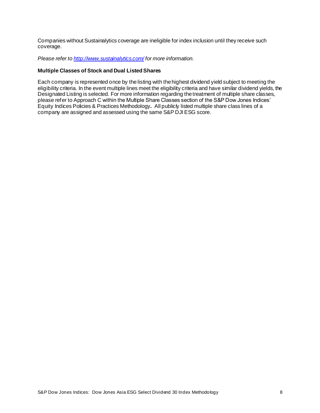Companies without Sustainalytics coverage are ineligible for index inclusion until they receive such coverage.

<span id="page-8-0"></span>*Please refer t[o http://www.sustainalytics.com/](http://www.sustainalytics.com/) for more information.* 

#### **Multiple Classes of Stock and Dual Listed Shares**

Each company is represented once by the listing with the highest dividend yield subject to meeting the eligibility criteria. In the event multiple lines meet the eligibility criteria and have similar dividend yields, the Designated Listing is selected. For more information regarding the treatment of multiple share classes, please refer to Approach C within the Multiple Share Classes section of the S&P Dow Jones Indices' Equity Indices Policies & Practices Methodology**.** All publicly listed multiple share class lines of a company are assigned and assessed using the same S&P DJI ESG score.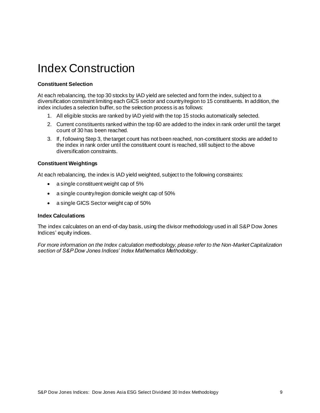## <span id="page-9-0"></span>Index Construction

#### <span id="page-9-1"></span>**Constituent Selection**

At each rebalancing, the top 30 stocks by IAD yield are selected and form the index, subject to a diversification constraint limiting each GICS sector and country/region to 15 constituents. In addition, the index includes a selection buffer, so the selection process is as follows:

- 1. All eligible stocks are ranked by IAD yield with the top 15 stocks automatically selected.
- 2. Current constituents ranked within the top 60 are added to the index in rank order until the target count of 30 has been reached.
- 3. If, following Step 3, the target count has not been reached, non-constituent stocks are added to the index in rank order until the constituent count is reached, still subject to the above diversification constraints.

#### <span id="page-9-2"></span>**Constituent Weightings**

At each rebalancing, the index is IAD yield weighted, subject to the following constraints:

- a single constituent weight cap of 5%
- a single country/region domicile weight cap of 50%
- a single GICS Sector weight cap of 50%

#### <span id="page-9-3"></span>**Index Calculations**

The index calculates on an end-of-day basis, using the divisor methodology used in all S&P Dow Jones Indices' equity indices.

*For more information on the Index calculation methodology, please refer to the Non-Market Capitalization section of S&P Dow Jones Indices' Index Mathematics Methodology.*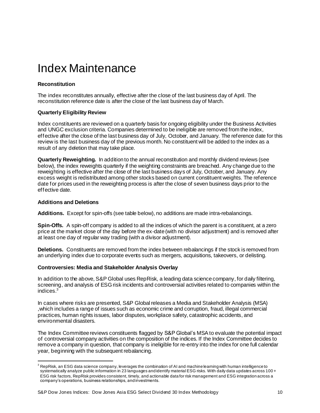### <span id="page-10-0"></span>Index Maintenance

#### <span id="page-10-1"></span>**Reconstitution**

The index reconstitutes annually, effective after the close of the last business day of April. The reconstitution reference date is after the close of the last business day of March.

#### <span id="page-10-2"></span>**Quarterly Eligibility Review**

Index constituents are reviewed on a quarterly basis for ongoing eligibility under the Business Activities and UNGC exclusion criteria. Companies determined to be ineligible are removed from the index, effective after the close of the last business day of July, October, and January. The reference date for this review is the last business day of the previous month. No constituent will be added to the index as a result of any deletion that may take place.

**Quarterly Reweighting.** In addition to the annual reconstitution and monthly dividend reviews (see below), the index reweights quarterly if the weighting constraints are breached. Any change due to the reweighting is effective after the close of the last business days of July, October, and January. Any excess weight is redistributed among other stocks based on current constituent weights. The reference date for prices used in the reweighting process is after the close of seven business days prior to the effective date.

#### <span id="page-10-3"></span>**Additions and Deletions**

**Additions.** Except for spin-offs (see table below), no additions are made intra-rebalancings.

**Spin-Offs.** A spin-off company is added to all the indices of which the parent is a constituent, at a zero price at the market close of the day before the ex-date (with no divisor adjustment) and is removed after at least one day of regular way trading (with a divisor adjustment).

**Deletions.** Constituents are removed from the index between rebalancings if the stock is removed from an underlying index due to corporate events such as mergers, acquisitions, takeovers, or delisting.

#### <span id="page-10-4"></span>**Controversies: Media and Stakeholder Analysis Overlay**

In addition to the above, S&P Global uses RepRisk, a leading data science company, for daily filtering, screening, and analysis of ESG risk incidents and controversial activities related to companies within the indices. $^3$ 

In cases where risks are presented, S&P Global releases a Media and Stakeholder Analysis (MSA) ,which includes a range of issues such as economic crime and corruption, fraud, illegal commercial practices, human rights issues, labor disputes, workplace safety, catastrophic accidents, and environmental disasters.

The Index Committee reviews constituents flagged by S&P Global's MSA to evaluate the potential impact of controversial company activities on the composition of the indices. If the Index Committee decides to remove a company in question, that company is ineligible for re-entry into the index for one full calendar year, beginning with the subsequent rebalancing.

 $^3$  RepRisk, an ESG data science company, leverages the combination of AI and machine learning with human intelligence to systematically analyze public information in 23 languages and identify material ESG risks. With daily data updates across 100 + ESG risk factors, RepRisk provides consistent, timely, and actionable data for risk management and ESG integration across a company's operations, business relationships, and investments.

S&P Dow Jones Indices: Dow Jones Asia ESG Select Dividend 30 Index Methodology 10 10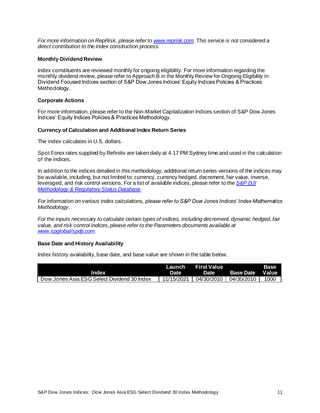*For more information on RepRisk, please refer to [www.reprisk.com](http://www.reprisk.com/)*. *This service is not considered a direct contribution to the index construction process.*

#### <span id="page-11-0"></span>**Monthly Dividend Review**

Index constituents are reviewed monthly for ongoing eligibility. For more information regarding the monthly dividend review, please refer to Approach B in the Monthly Review for Ongoing Eligibility in Dividend Focused Indices section of S&P Dow Jones Indices' Equity Indices Policies & Practices Methodology.

#### <span id="page-11-1"></span>**Corporate Actions**

For more information, please refer to the Non-Market Capitalization Indices section of S&P Dow Jones Indices' Equity Indices Policies & Practices Methodology.

#### <span id="page-11-2"></span>**Currency of Calculation and Additional Index Return Series**

The index calculates in U.S. dollars.

Spot Forex rates supplied by Refinitiv are taken daily at 4:17 PM Sydney time and used in the calculation of the indices.

In addition to the indices detailed in this methodology, additional return series versions of the indices may be available, including, but not limited to: currency, currency hedged, decrement, fair value, inverse, leveraged, and risk control versions. For a list of available indices, please refer to the *[S&P DJI](https://www.spglobal.com/spdji/en/governance/methodology-and-regulatory-status/)  [Methodology & Regulatory Status Database](https://www.spglobal.com/spdji/en/governance/methodology-and-regulatory-status/)*.

*For information on various index calculations, please refer to S&P Dow Jones Indices' Index Mathematics Methodology.*

*For the inputs necessary to calculate certain types of indices, including decrement, dynamic hedged, fair value, and risk control indices, please refer to the Parameters documents available at [www.spglobal/spdji.com](http://www.spdji.com/).*

#### <span id="page-11-3"></span>**Base Date and History Availability**

Index history availability, base date, and base value are shown in the table below.

|                                             |             | Launch First Value |                         | <b>Base</b> |
|---------------------------------------------|-------------|--------------------|-------------------------|-------------|
| Index                                       | <b>Date</b> |                    | Date Base Date Value    |             |
| Dow Jones Asia ESG Select Dividend 30 Index | 11/15/2021  |                    | 04/30/2010   04/30/2010 | 1000        |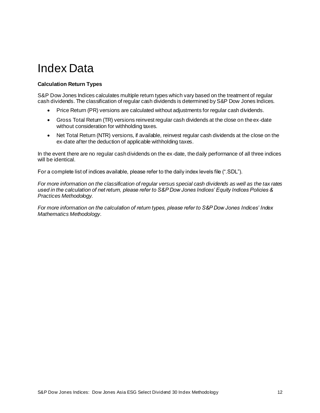### <span id="page-12-0"></span>Index Data

#### <span id="page-12-1"></span>**Calculation Return Types**

S&P Dow Jones Indices calculates multiple return types which vary based on the treatment of regular cash dividends. The classification of regular cash dividends is determined by S&P Dow Jones Indices.

- Price Return (PR) versions are calculated without adjustments for regular cash dividends.
- Gross Total Return (TR) versions reinvest regular cash dividends at the close on the ex-date without consideration for withholding taxes.
- Net Total Return (NTR) versions, if available, reinvest regular cash dividends at the close on the ex-date after the deduction of applicable withholding taxes.

In the event there are no regular cash dividends on the ex-date, the daily performance of all three indices will be identical.

For a complete list of indices available, please refer to the daily index levels file (".SDL").

*For more information on the classification of regular versus special cash dividends as well as the tax rates used in the calculation of net return, please refer to S&P Dow Jones Indices' Equity Indices Policies & Practices Methodology.*

*For more information on the calculation of return types, please refer to S&P Dow Jones Indices' Index Mathematics Methodology*.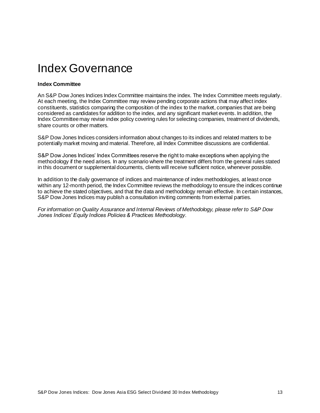## <span id="page-13-0"></span>Index Governance

#### <span id="page-13-1"></span>**Index Committee**

An S&P Dow Jones Indices Index Committee maintains the index. The Index Committee meets regularly. At each meeting, the Index Committee may review pending corporate actions that may affect index constituents, statistics comparing the composition of the index to the market, companies that are being considered as candidates for addition to the index, and any significant market events. In addition, the Index Committee may revise index policy covering rules for selecting companies, treatment of dividends, share counts or other matters.

S&P Dow Jones Indices considers information about changes to its indices and related matters to be potentially market moving and material. Therefore, all Index Committee discussions are confidential.

S&P Dow Jones Indices' Index Committees reserve the right to make exceptions when applying the methodology if the need arises. In any scenario where the treatment differs from the general rules stated in this document or supplemental documents, clients will receive sufficient notice, whenever possible.

In addition to the daily governance of indices and maintenance of index methodologies, at least once within any 12-month period, the Index Committee reviews the methodology to ensure the indices continue to achieve the stated objectives, and that the data and methodology remain effective. In certain instances, S&P Dow Jones Indices may publish a consultation inviting comments from external parties.

*For information on Quality Assurance and Internal Reviews of Methodology, please refer to S&P Dow Jones Indices' Equity Indices Policies & Practices Methodology*.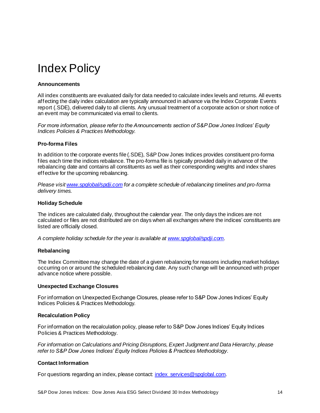## <span id="page-14-0"></span>Index Policy

#### <span id="page-14-1"></span>**Announcements**

All index constituents are evaluated daily for data needed to calculate index levels and returns. All events affecting the daily index calculation are typically announced in advance via the Index Corporate Events report (.SDE), delivered daily to all clients. Any unusual treatment of a corporate action or short notice of an event may be communicated via email to clients.

*For more information, please refer to the Announcements section of S&P Dow Jones Indices' Equity Indices Policies & Practices Methodology.*

#### <span id="page-14-2"></span>**Pro-forma Files**

In addition to the corporate events file (.SDE), S&P Dow Jones Indices provides constituent pro-forma files each time the indices rebalance. The pro-forma file is typically provided daily in advance of the rebalancing date and contains all constituents as well as their corresponding weights and index shares effective for the upcoming rebalancing.

*Please visi[t www.spglobal/spdji.com](http://www.spdji.com/) for a complete schedule of rebalancing timelines and pro-forma delivery times.*

#### <span id="page-14-3"></span>**Holiday Schedule**

The indices are calculated daily, throughout the calendar year. The only days the indices are not calculated or files are not distributed are on days when all exchanges where the indices' constituents are listed are officially closed.

<span id="page-14-4"></span>*A complete holiday schedule for the year is available a[t www.spglobal/spdji.com](http://www.spdji.com/).*

#### **Rebalancing**

The Index Committee may change the date of a given rebalancing for reasons including market holidays occurring on or around the scheduled rebalancing date. Any such change will be announced with proper advance notice where possible.

#### <span id="page-14-5"></span>**Unexpected Exchange Closures**

For information on Unexpected Exchange Closures, please refer to S&P Dow Jones Indices' Equity Indices Policies & Practices Methodology*.*

#### <span id="page-14-6"></span>**Recalculation Policy**

For information on the recalculation policy, please refer to S&P Dow Jones Indices' Equity Indices Policies & Practices Methodology.

*For information on Calculations and Pricing Disruptions, Expert Judgment and Data Hierarchy, please refer to S&P Dow Jones Indices' Equity Indices Policies & Practices Methodology*.

#### <span id="page-14-7"></span>**Contact Information**

For questions regarding an index, please contact: index services@spglobal.com.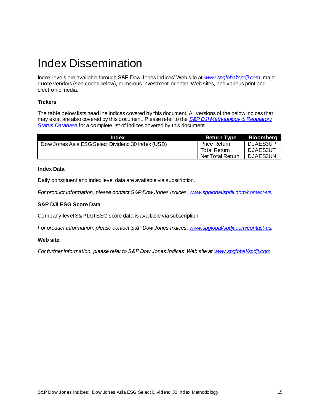### <span id="page-15-0"></span>Index Dissemination

Index levels are available through S&P Dow Jones Indices' Web site at *[www.spglobal/spdji.com](http://www.spdji.com/),* major quote vendors (see codes below), numerous investment-oriented Web sites, and various print and electronic media.

#### <span id="page-15-1"></span>**Tickers**

The table below lists headline indices covered by this document. All versions of the below indices that may exist are also covered by this document. Please refer to the *[S&P DJI Methodology & Regulatory](https://www.spglobal.com/spdji/en/governance/methodology-and-regulatory-status/)  [Status Database](https://www.spglobal.com/spdji/en/governance/methodology-and-regulatory-status/)* for a complete list of indices covered by this document.

| Index                                             | Return Type      | Bloomberg |
|---------------------------------------------------|------------------|-----------|
| Dow Jones Asia ESG Select Dividend 30 Index (USD) | I Price Return.  | DJAES3UP  |
|                                                   | Total Return     | DJAES3UT  |
|                                                   | Net Total Return | DJAES3UN  |

#### <span id="page-15-2"></span>**Index Data**

Daily constituent and index level data are available via subscription.

<span id="page-15-3"></span>*For product information, please contact S&P Dow Jones Indices[, www.spglobal/spdji.com/contact-us](http://www.spdji.com/contact-us).*

### **S&P DJI ESG Score Data**

Company-level S&P DJI ESG score data is available via subscription.

<span id="page-15-4"></span>*For product information, please contact S&P Dow Jones Indices[, www.spglobal/spdji.com/contact-us](http://www.spdji.com/contact-us).* 

#### **Web site**

*For further information, please refer to S&P Dow Jones Indices' Web site a[t www.spglobal/spdji.com](http://www.spdji.com/).*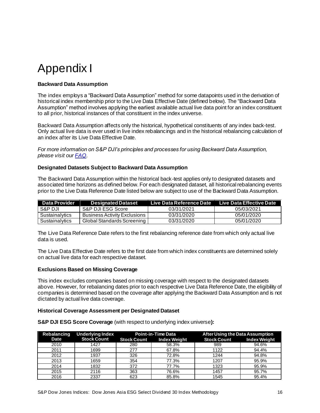# <span id="page-16-0"></span>Appendix I

#### <span id="page-16-1"></span>**Backward Data Assumption**

The index employs a "Backward Data Assumption" method for some datapoints used in the derivation of historical index membership prior to the Live Data Effective Date (defined below). The "Backward Data Assumption" method involves applying the earliest available actual live data point for an index constituent to all prior, historical instances of that constituent in the index universe.

Backward Data Assumption affects only the historical, hypothetical constituents of any index back-test. Only actual live data is ever used in live index rebalancings and in the historical rebalancing calculation of an index after its Live Data Effective Date.

*For more information on S&P DJI's principles and processes for using Backward Data Assumption, please visit ou[r FAQ](https://www.spglobal.com/spdji/en/education/article/faq-esg-back-testing-backward-data-assumption-overview)*.

#### <span id="page-16-2"></span>**Designated Datasets Subject to Backward Data Assumption**

The Backward Data Assumption within the historical back-test applies only to designated datasets and associated time horizons as defined below. For each designated dataset, all historical rebalancing events prior to the Live Data Reference Date listed below are subject to use of the Backward Data Assumption.

| Data Provider  | <b>Designated Dataset</b>    | Live Data Reference Date N | Live Data Effective Date \ |
|----------------|------------------------------|----------------------------|----------------------------|
| S&P DJI        | S&P DJI ESG Score            | 03/31/2021                 | 05/03/2021                 |
| Sustainalytics | Business Activity Exclusions | 03/31/2020                 | 05/01/2020                 |
| Sustainalytics | Global Standards Screening   | 03/31/2020                 | 05/01/2020                 |

The Live Data Reference Date refers to the first rebalancing reference date from which only actual live data is used.

The Live Data Effective Date refers to the first date from which index constituents are determined solely on actual live data for each respective dataset.

#### <span id="page-16-3"></span>**Exclusions Based on Missing Coverage**

This index excludes companies based on missing coverage with respect to the designated datasets above. However, for rebalancing dates prior to each respective Live Data Reference Date, the eligibility of companies is determined based on the coverage after applying the Backward Data Assumption and is not dictated by actual live data coverage.

#### <span id="page-16-4"></span>**Historical Coverage Assessment per Designated Dataset**

**S&P DJI ESG Score Coverage** (with respect to underlying index universe**):**

| L<br>Rebalancing | <b>Underlying Index</b> | Point-in-Time Data |                     | After Using the Data Assumption |                     |
|------------------|-------------------------|--------------------|---------------------|---------------------------------|---------------------|
| Date             | <b>Stock Count</b>      | Stock Count        | <b>Index Weight</b> | <b>Stock Count</b>              | <b>Index Weight</b> |
| 2010             | 1427                    | 280                | 58.3%               | 989                             | 94.6%               |
| 2011             | 1699                    | 277                | 67.8%               | 1122                            | 94.4%               |
| 2012             | 1937                    | 326                | 72.8%               | 1244                            | 94.8%               |
| 2013             | 1659                    | 354                | 77.3%               | 1207                            | 95.9%               |
| 2014             | 1832                    | 372                | 77.7%               | 1323                            | 95.9%               |
| 2015             | 2116                    | 363                | 76.6%               | 1457                            | 95.7%               |
| 2016             | 2337                    | 623                | 85.8%               | 1545                            | 95.4%               |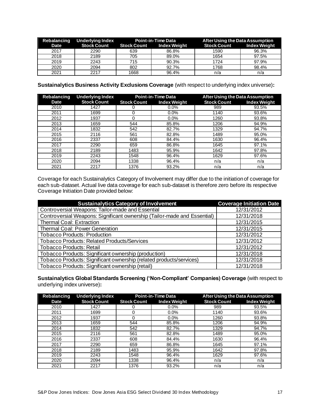|             | Rebalancing Underlying Index   | <b>Point-in-Time Data</b> |              | After Using the Data Assumption |              |
|-------------|--------------------------------|---------------------------|--------------|---------------------------------|--------------|
| <b>Date</b> | <b>Stock Count Stock Count</b> |                           | Index Weight | <b>Stock Count</b>              | Index Weight |
| 2017        | 2290                           | 639                       | 86.8%        | 1590                            | 96.3%        |
| 2018        | 2189                           | 705                       | 89.0%        | 1654                            | 97.5%        |
| 2019        | 2243                           | 715                       | 90.3%        | 1724                            | 97.9%        |
| 2020        | 2094                           | 802                       | 92.7%        | 1768                            | 98.4%        |
| 2021        | 2217                           | 1668                      | 96.4%        | n/a                             | n/a          |

**Sustainalytics Business Activity Exclusions Coverage** (with respect to underlying index universe)**:**

| <b>Rebalancing</b> | <b>Underlying Index</b> |                    | <b>Point-in-Time Data</b> | After Using the Data Assumption |                     |
|--------------------|-------------------------|--------------------|---------------------------|---------------------------------|---------------------|
| <b>Date</b>        | <b>Stock Count</b>      | <b>Stock Count</b> | <b>Index Weight</b>       | <b>Stock Count</b>              | <b>Index Weight</b> |
| 2010               | 1427                    |                    | $0.0\%$                   | 989                             | 93.5%               |
| 2011               | 1699                    | 0                  | $0.0\%$                   | 1140                            | 93.6%               |
| 2012               | 1937                    |                    | $0.0\%$                   | 1260                            | 93.8%               |
| 2013               | 1659                    | 544                | 85.8%                     | 1206                            | 94.9%               |
| 2014               | 1832                    | 542                | 82.7%                     | 1329                            | 94.7%               |
| 2015               | 2116                    | 561                | 82.8%                     | 1489                            | 95.0%               |
| 2016               | 2337                    | 608                | 84.4%                     | 1630                            | 96.4%               |
| 2017               | 2290                    | 659                | 86.8%                     | 1645                            | 97.1%               |
| 2018               | 2189                    | 1483               | 95.9%                     | 1642                            | 97.8%               |
| 2019               | 2243                    | 1548               | 96.4%                     | 1629                            | 97.6%               |
| 2020               | 2094                    | 1338               | 96.4%                     | n/a                             | n/a                 |
| 2021               | 2217                    | 1376               | 93.2%                     | n/a                             | n/a                 |

Coverage for each Sustainalytics Category of Involvement may differ due to the initiation of coverage for each sub-dataset. Actual live data coverage for each sub-dataset is therefore zero before its respective Coverage Initiation Date provided below:

| <b>Sustainalytics Category of Involvement</b>                            | <b>Coverage Initiation Date</b> |
|--------------------------------------------------------------------------|---------------------------------|
| Controversial Weapons: Tailor-made and Essential                         | 12/31/2012                      |
| Controversial Weapons: Significant ownership (Tailor-made and Essential) | 12/31/2018                      |
| <b>Thermal Coal: Extraction</b>                                          | 12/31/2015                      |
| <b>Thermal Coal: Power Generation</b>                                    | 12/31/2015                      |
| <b>Tobacco Products: Production</b>                                      | 12/31/2012                      |
| <b>Tobacco Products: Related Products/Services</b>                       | 12/31/2012                      |
| <b>Tobacco Products: Retail</b>                                          | 12/31/2012                      |
| Tobacco Products: Significant ownership (production)                     | 12/31/2018                      |
| Tobacco Products: Significant ownership (related products/services)      | 12/31/2018                      |
| Tobacco Products: Significant ownership (retail)                         | 12/31/2018                      |

**Sustainalytics Global Standards Screening ('Non-Compliant' Companies) Coverage** (with respect to underlying index universe)**:**

| Rebalancing | <b>Underlying Index</b> | Point-in-Time Data |                     | After Using the Data Assumption |                     |
|-------------|-------------------------|--------------------|---------------------|---------------------------------|---------------------|
| Date        | <b>Stock Count</b>      | <b>Stock Count</b> | <b>Index Weight</b> | <b>Stock Count</b>              | <b>Index Weight</b> |
| 2010        | 1427                    |                    | $0.0\%$             | 989                             | 93.5%               |
| 2011        | 1699                    |                    | $0.0\%$             | 1140                            | 93.6%               |
| 2012        | 1937                    |                    | 0.0%                | 1260                            | 93.8%               |
| 2013        | 1659                    | 544                | 85.8%               | 1206                            | 94.9%               |
| 2014        | 1832                    | 542                | 82.7%               | 1329                            | 94.7%               |
| 2015        | 2116                    | 561                | 82.8%               | 1489                            | 95.0%               |
| 2016        | 2337                    | 608                | 84.4%               | 1630                            | 96.4%               |
| 2017        | 2290                    | 659                | 86.8%               | 1645                            | 97.1%               |
| 2018        | 2189                    | 1483               | 95.9%               | 1642                            | 97.8%               |
| 2019        | 2243                    | 1548               | 96.4%               | 1629                            | 97.6%               |
| 2020        | 2094                    | 1338               | 96.4%               | n/a                             | n/a                 |
| 2021        | 2217                    | 1376               | 93.2%               | n/a                             | n/a                 |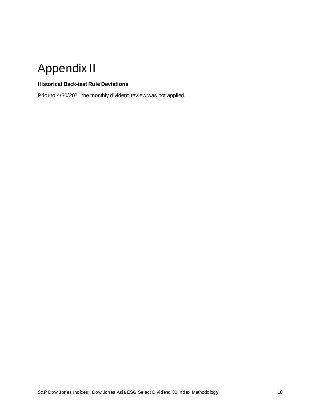# <span id="page-18-0"></span>Appendix II

### <span id="page-18-1"></span>**Historical Back-test Rule Deviations**

Prior to 4/30/2021 the monthly dividend review was not applied.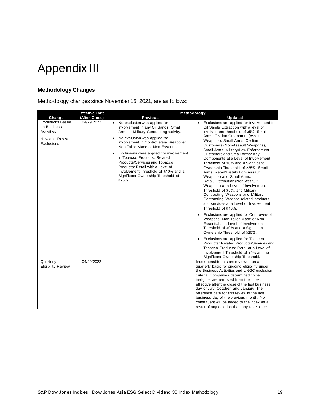## <span id="page-19-0"></span>Appendix III

### <span id="page-19-1"></span>**Methodology Changes**

Methodology changes since November 15, 2021, are as follows:

|               | Methodology                                                                                                                                                                                                                                                                                                                                   |                                                                                                                                                                                                                                                                                                                                                                                                                                                                                                                                   |  |
|---------------|-----------------------------------------------------------------------------------------------------------------------------------------------------------------------------------------------------------------------------------------------------------------------------------------------------------------------------------------------|-----------------------------------------------------------------------------------------------------------------------------------------------------------------------------------------------------------------------------------------------------------------------------------------------------------------------------------------------------------------------------------------------------------------------------------------------------------------------------------------------------------------------------------|--|
| (After Close) | <b>Previous</b>                                                                                                                                                                                                                                                                                                                               | <b>Updated</b>                                                                                                                                                                                                                                                                                                                                                                                                                                                                                                                    |  |
| 04/29/2022    | No exclusion was applied for<br>involvement in any Oil Sands, Small<br>Arms or Military Contracting activity.                                                                                                                                                                                                                                 | Exclusions are applied for involvement in<br>Oil Sands Extraction with a level of<br>involvement threshold of ≥5%. Small<br>Arms: Civilian Customers (Assault                                                                                                                                                                                                                                                                                                                                                                     |  |
|               | $\bullet$<br>involvement in Controversial Weapons:<br>Non-Tailor Made or Non-Essential.<br>Exclusions were applied for involvement<br>$\bullet$<br>in Tobacco Products: Related<br>Products/Services and Tobacco<br>Products: Retail with a Level of<br>Involvement Threshold of ≥10% and a<br>Significant Ownership Threshold of<br>$≥25%$ . | Weapons), Small Arms: Civilian<br>Customers (Non-Assault Weapons),<br>Small Arms: Military/Law Enforcement<br><b>Customers and Small Arms: Key</b><br>Components at a Level of Involvement<br>Threshold of >0% and a Significant<br>Ownership Threshold of ≥25%, Small<br>Arms: Retail/Distribution (Assault<br>Weapons) and Small Arms:<br>Retail/Distribution (Non-Assault<br>Weapons) at a Level of Involvement<br>Threshold of ≥5%, and Military<br>Contracting: Weapons and Military<br>Contracting: Weapon-related products |  |
|               |                                                                                                                                                                                                                                                                                                                                               | and services at a Level of Involvement<br>Threshold of $\geq 10\%$ .                                                                                                                                                                                                                                                                                                                                                                                                                                                              |  |
|               |                                                                                                                                                                                                                                                                                                                                               | Exclusions are applied for Controversial<br>$\bullet$<br>Weapons: Non-Tailor Made or Non-<br>Essential at a Level of Involvement<br>Threshold of >0% and a Significant<br>Ownership Threshold of ≥25%,                                                                                                                                                                                                                                                                                                                            |  |
|               |                                                                                                                                                                                                                                                                                                                                               | Exclusions are applied for Tobacco<br>$\bullet$<br>Products: Related Products/Services and<br>Tobacco Products: Retail at a Level of<br>Involvement Threshold of ≥5% and no<br>Significant Ownership Threshold.                                                                                                                                                                                                                                                                                                                   |  |
| 04/29/2022    | $-$                                                                                                                                                                                                                                                                                                                                           | Index constituents are reviewed on a<br>quarterly basis for ongoing eligibility under<br>the Business Activities and UNGC exclusion<br>criteria. Companies determined to be<br>ineligible are removed from the index,<br>effective after the close of the last business<br>day of July, October, and January. The<br>reference date for this review is the last<br>business day of the previous month. No<br>constituent will be added to the index as a                                                                          |  |
|               |                                                                                                                                                                                                                                                                                                                                               | No exclusion was applied for                                                                                                                                                                                                                                                                                                                                                                                                                                                                                                      |  |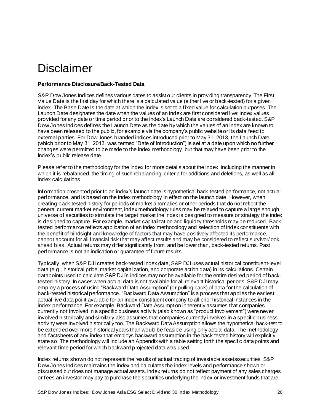## <span id="page-20-0"></span>Disclaimer

#### <span id="page-20-1"></span>**Performance Disclosure/Back-Tested Data**

S&P Dow Jones Indices defines various dates to assist our clients in providing transparency. The First Value Date is the first day for which there is a calculated value (either live or back-tested) for a given index. The Base Date is the date at which the index is set to a fixed value for calculation purposes. The Launch Date designates the date when the values of an index are first considered live: index values provided for any date or time period prior to the index's Launch Date are considered back-tested. S&P Dow Jones Indices defines the Launch Date as the date by which the values of an index are known to have been released to the public, for example via the company's public website or its data feed to external parties. For Dow Jones-branded indices introduced prior to May 31, 2013, the Launch Date (which prior to May 31, 2013, was termed "Date of introduction") is set at a date upon which no further changes were permitted to be made to the index methodology, but that may have been prior to the Index's public release date.

Please refer to the methodology for the Index for more details about the index, including the manner in which it is rebalanced, the timing of such rebalancing, criteria for additions and deletions, as well as all index calculations.

Information presented prior to an index's launch date is hypothetical back-tested performance, not actual performance, and is based on the index methodology in effect on the launch date. However, when creating back-tested history for periods of market anomalies or other periods that do not reflect the general current market environment, index methodology rules may be relaxed to capture a large enough universe of securities to simulate the target market the index is designed to measure or strategy the index is designed to capture. For example, market capitalization and liquidity thresholds may be reduced. Backtested performance reflects application of an index methodology and selection of index constituents with the benefit of hindsight and knowledge of factors that may have positively affected its performance, cannot account for all financial risk that may affect results and may be considered to reflect survivor/look ahead bias. Actual returns may differ significantly from, and be lower than, back-tested returns. Past performance is not an indication or guarantee of future results.

Typically, when S&P DJI creates back-tested index data, S&P DJI uses actual historical constituent-level data (e.g., historical price, market capitalization, and corporate action data) in its calculations. Certain datapoints used to calculate S&P DJI's indices may not be available for the entire desired period of backtested history. In cases when actual data is not available for all relevant historical periods, S&P DJI may employ a process of using "Backward Data Assumption" (or pulling back) of data for the calculation of back-tested historical performance. "Backward Data Assumption" is a process that applies the earliest actual live data point available for an index constituent company to all prior historical instances in the index performance. For example, Backward Data Assumption inherently assumes that companies currently not involved in a specific business activity (also known as "product involvement") were never involved historically and similarly also assumes that companies currently involved in a specific business activity were involved historically too. The Backward Data Assumption allows the hypothetical back-test to be extended over more historical years than would be feasible using only actual data. The methodology and factsheets of any index that employs backward assumption in the back-tested history will explicitly state so. The methodology will include an Appendix with a table setting forth the specific data points and relevant time period for which backward projected data was used.

Index returns shown do not represent the results of actual trading of investable assets/securities. S&P Dow Jones Indices maintains the index and calculates the index levels and performance shown or discussed but does not manage actual assets. Index returns do not reflect payment of any sales charges or fees an investor may pay to purchase the securities underlying the Index or investment funds that are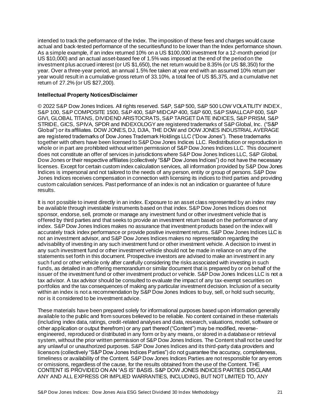intended to track the performance of the Index. The imposition of these fees and charges would cause actual and back-tested performance of the securities/fund to be lower than the Index performance shown. As a simple example, if an index returned 10% on a US \$100,000 investment for a 12-month period (or US \$10,000) and an actual asset-based fee of 1.5% was imposed at the end of the period on the investment plus accrued interest (or US \$1,650), the net return would be 8.35% (or US \$8,350) for the year. Over a three-year period, an annual 1.5% fee taken at year end with an assumed 10% return per year would result in a cumulative gross return of 33.10%, a total fee of US \$5,375, and a cumulative net return of 27.2% (or US \$27,200).

#### <span id="page-21-0"></span>**Intellectual Property Notices/Disclaimer**

© 2022 S&P Dow Jones Indices. All rights reserved. S&P, S&P 500, S&P 500 LOW VOLATILITY INDEX, S&P 100, S&P COMPOSITE 1500, S&P 400, S&P MIDCAP 400, S&P 600, S&P SMALLCAP 600, S&P GIVI, GLOBAL TITANS, DIVIDEND ARISTOCRATS, S&P TARGET DATE INDICES, S&P PRISM, S&P STRIDE, GICS, SPIVA, SPDR and INDEXOLOGY are registered trademarks of S&P Global, Inc. ("S&P Global") or its affiliates. DOW JONES, DJ, DJIA, THE DOW and DOW JONES INDUSTRIAL AVERAGE are registered trademarks of Dow Jones Trademark Holdings LLC ("Dow Jones"). These trademarks together with others have been licensed to S&P Dow Jones Indices LLC. Redistribution or reproduction in whole or in part are prohibited without written permission of S&P Dow Jones Indices LLC. This document does not constitute an offer of services in jurisdictions where S&P Dow Jones Indices LLC, S&P Global, Dow Jones or their respective affiliates (collectively "S&P Dow Jones Indices") do not have the necessary licenses. Except for certain custom index calculation services, all information provided by S&P Dow Jones Indices is impersonal and not tailored to the needs of any person, entity or group of persons. S&P Dow Jones Indices receives compensation in connection with licensing its indices to third parties and providing custom calculation services. Past performance of an index is not an indication or guarantee of future results.

It is not possible to invest directly in an index. Exposure to an asset class represented by an index may be available through investable instruments based on that index. S&P Dow Jones Indices does not sponsor, endorse, sell, promote or manage any investment fund or other investment vehicle that is offered by third parties and that seeks to provide an investment return based on the performance of any index. S&P Dow Jones Indices makes no assurance that investment products based on the index will accurately track index performance or provide positive investment returns. S&P Dow Jones Indices LLC is not an investment advisor, and S&P Dow Jones Indices makes no representation regarding the advisability of investing in any such investment fund or other investment vehicle. A decision to invest in any such investment fund or other investment vehicle should not be made in reliance on any of the statements set forth in this document. Prospective investors are advised to make an investment in any such fund or other vehicle only after carefully considering the risks associated with investing in such funds, as detailed in an offering memorandum or similar document that is prepared by or on behalf of the issuer of the investment fund or other investment product or vehicle. S&P Dow Jones Indices LLC is not a tax advisor. A tax advisor should be consulted to evaluate the impact of any tax-exempt securities on portfolios and the tax consequences of making any particular investment decision. Inclusion of a security within an index is not a recommendation by S&P Dow Jones Indices to buy, sell, or hold such security, nor is it considered to be investment advice.

These materials have been prepared solely for informational purposes based upon information generally available to the public and from sources believed to be reliable. No content contained in these materials (including index data, ratings, credit-related analyses and data, research, valuations, model, software or other application or output therefrom) or any part thereof ("Content") may be modified, reverseengineered, reproduced or distributed in any form or by any means, or stored in a database or retrieval system, without the prior written permission of S&P Dow Jones Indices. The Content shall not be used for any unlawful or unauthorized purposes. S&P Dow Jones Indices and its third-party data providers and licensors (collectively "S&P Dow Jones Indices Parties") do not guarantee the accuracy, completeness, timeliness or availability of the Content. S&P Dow Jones Indices Parties are not responsible for any errors or omissions, regardless of the cause, for the results obtained from the use of the Content. THE CONTENT IS PROVIDED ON AN "AS IS" BASIS. S&P DOW JONES INDICES PARTIES DISCLAIM ANY AND ALL EXPRESS OR IMPLIED WARRANTIES, INCLUDING, BUT NOT LIMITED TO, ANY